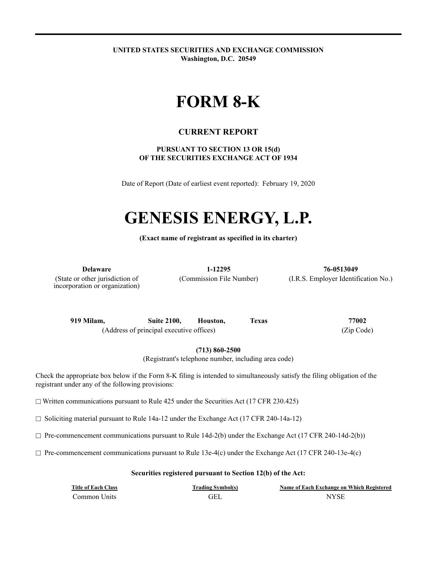**UNITED STATES SECURITIES AND EXCHANGE COMMISSION Washington, D.C. 20549**

# **FORM 8-K**

# **CURRENT REPORT**

**PURSUANT TO SECTION 13 OR 15(d) OF THE SECURITIES EXCHANGE ACT OF 1934**

Date of Report (Date of earliest event reported): February 19, 2020

# **GENESIS ENERGY, L.P.**

## **(Exact name of registrant as specified in its charter)**

(State or other jurisdiction of incorporation or organization)

**Delaware 1-12295 76-0513049** (Commission File Number) (I.R.S. Employer Identification No.)

| 919 Milam, | <b>Suite 2100,</b>                       | Houston. | Texas | 77002      |
|------------|------------------------------------------|----------|-------|------------|
|            | (Address of principal executive offices) |          |       | (Zip Code) |

**(713) 860-2500**

(Registrant's telephone number, including area code)

Check the appropriate box below if the Form 8-K filing is intended to simultaneously satisfy the filing obligation of the registrant under any of the following provisions:

 $\Box$  Written communications pursuant to Rule 425 under the Securities Act (17 CFR 230.425)

 $\square$  Soliciting material pursuant to Rule 14a-12 under the Exchange Act (17 CFR 240-14a-12)

 $\Box$  Pre-commencement communications pursuant to Rule 14d-2(b) under the Exchange Act (17 CFR 240-14d-2(b))

 $\Box$  Pre-commencement communications pursuant to Rule 13e-4(c) under the Exchange Act (17 CFR 240-13e-4(c)

# **Securities registered pursuant to Section 12(b) of the Act:**

| <b>Title of Each Class</b> | <b>Trading Symbol(s)</b> | Name of Each Exchange on Which Registered |
|----------------------------|--------------------------|-------------------------------------------|
| Common Units               | GEL                      | NYSE                                      |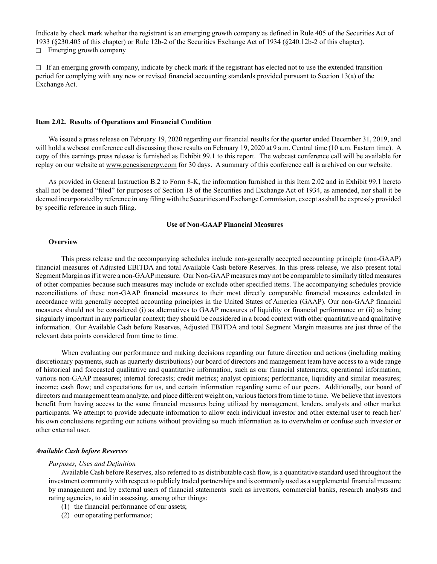Indicate by check mark whether the registrant is an emerging growth company as defined in Rule 405 of the Securities Act of 1933 (§230.405 of this chapter) or Rule 12b-2 of the Securities Exchange Act of 1934 (§240.12b-2 of this chapter).  $\Box$  Emerging growth company

 $\Box$  If an emerging growth company, indicate by check mark if the registrant has elected not to use the extended transition period for complying with any new or revised financial accounting standards provided pursuant to Section 13(a) of the Exchange Act.

#### **Item 2.02. Results of Operations and Financial Condition**

We issued a press release on February 19, 2020 regarding our financial results for the quarter ended December 31, 2019, and will hold a webcast conference call discussing those results on February 19, 2020 at 9 a.m. Central time (10 a.m. Eastern time). A copy of this earnings press release is furnished as Exhibit 99.1 to this report. The webcast conference call will be available for replay on our website at www.genesisenergy.com for 30 days. A summary of this conference call is archived on our website.

As provided in General Instruction B.2 to Form 8-K, the information furnished in this Item 2.02 and in Exhibit 99.1 hereto shall not be deemed "filed" for purposes of Section 18 of the Securities and Exchange Act of 1934, as amended, nor shall it be deemed incorporated by reference in any filing with the Securities and Exchange Commission, except as shall be expressly provided by specific reference in such filing.

#### **Use of Non-GAAP Financial Measures**

#### **Overview**

This press release and the accompanying schedules include non-generally accepted accounting principle (non-GAAP) financial measures of Adjusted EBITDA and total Available Cash before Reserves. In this press release, we also present total Segment Margin as if it were a non-GAAPmeasure. Our Non-GAAPmeasures may not be comparable to similarly titled measures of other companies because such measures may include or exclude other specified items. The accompanying schedules provide reconciliations of these non-GAAP financial measures to their most directly comparable financial measures calculated in accordance with generally accepted accounting principles in the United States of America (GAAP). Our non-GAAP financial measures should not be considered (i) as alternatives to GAAP measures of liquidity or financial performance or (ii) as being singularly important in any particular context; they should be considered in a broad context with other quantitative and qualitative information. Our Available Cash before Reserves, Adjusted EBITDA and total Segment Margin measures are just three of the relevant data points considered from time to time.

When evaluating our performance and making decisions regarding our future direction and actions (including making discretionary payments, such as quarterly distributions) our board of directors and management team have access to a wide range of historical and forecasted qualitative and quantitative information, such as our financial statements; operational information; various non-GAAP measures; internal forecasts; credit metrics; analyst opinions; performance, liquidity and similar measures; income; cash flow; and expectations for us, and certain information regarding some of our peers. Additionally, our board of directors and management team analyze, and place different weight on, various factors from time to time. We believe that investors benefit from having access to the same financial measures being utilized by management, lenders, analysts and other market participants. We attempt to provide adequate information to allow each individual investor and other external user to reach her/ his own conclusions regarding our actions without providing so much information as to overwhelm or confuse such investor or other external user.

#### *Available Cash before Reserves*

#### *Purposes, Uses and Definition*

Available Cash before Reserves, also referred to as distributable cash flow, is a quantitative standard used throughout the investment community with respect to publicly traded partnerships and is commonly used as a supplemental financial measure by management and by external users of financial statements such as investors, commercial banks, research analysts and rating agencies, to aid in assessing, among other things:

- (1) the financial performance of our assets;
- (2) our operating performance;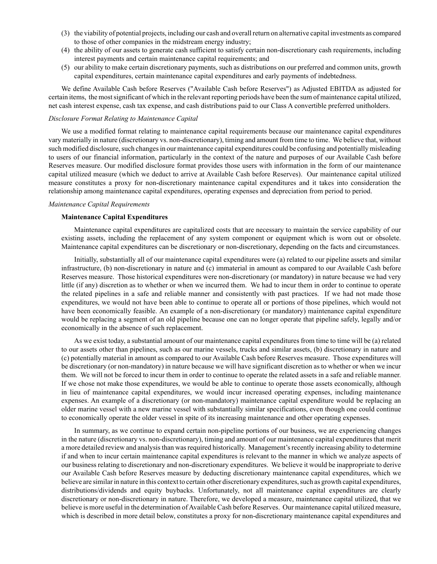- (3) the viability of potential projects, including our cash and overall return on alternative capital investments as compared to those of other companies in the midstream energy industry;
- (4) the ability of our assets to generate cash sufficient to satisfy certain non-discretionary cash requirements, including interest payments and certain maintenance capital requirements; and
- (5) our ability to make certain discretionary payments, such as distributions on our preferred and common units, growth capital expenditures, certain maintenance capital expenditures and early payments of indebtedness.

We define Available Cash before Reserves ("Available Cash before Reserves") as Adjusted EBITDA as adjusted for certain items, the most significant of which in the relevant reporting periods have been the sum of maintenance capital utilized, net cash interest expense, cash tax expense, and cash distributions paid to our Class A convertible preferred unitholders.

#### *Disclosure Format Relating to Maintenance Capital*

We use a modified format relating to maintenance capital requirements because our maintenance capital expenditures vary materially in nature (discretionary vs. non-discretionary), timing and amount from time to time. We believe that, without such modified disclosure, such changes in our maintenance capital expenditures could be confusing and potentially misleading to users of our financial information, particularly in the context of the nature and purposes of our Available Cash before Reserves measure. Our modified disclosure format provides those users with information in the form of our maintenance capital utilized measure (which we deduct to arrive at Available Cash before Reserves). Our maintenance capital utilized measure constitutes a proxy for non-discretionary maintenance capital expenditures and it takes into consideration the relationship among maintenance capital expenditures, operating expenses and depreciation from period to period.

#### *Maintenance Capital Requirements*

#### **Maintenance Capital Expenditures**

Maintenance capital expenditures are capitalized costs that are necessary to maintain the service capability of our existing assets, including the replacement of any system component or equipment which is worn out or obsolete. Maintenance capital expenditures can be discretionary or non-discretionary, depending on the facts and circumstances.

Initially, substantially all of our maintenance capital expenditures were (a) related to our pipeline assets and similar infrastructure, (b) non-discretionary in nature and (c) immaterial in amount as compared to our Available Cash before Reserves measure. Those historical expenditures were non-discretionary (or mandatory) in nature because we had very little (if any) discretion as to whether or when we incurred them. We had to incur them in order to continue to operate the related pipelines in a safe and reliable manner and consistently with past practices. If we had not made those expenditures, we would not have been able to continue to operate all or portions of those pipelines, which would not have been economically feasible. An example of a non-discretionary (or mandatory) maintenance capital expenditure would be replacing a segment of an old pipeline because one can no longer operate that pipeline safely, legally and/or economically in the absence of such replacement.

As we exist today, a substantial amount of our maintenance capital expenditures from time to time will be (a) related to our assets other than pipelines, such as our marine vessels, trucks and similar assets, (b) discretionary in nature and (c) potentially material in amount as compared to our Available Cash before Reserves measure. Those expenditures will be discretionary (or non-mandatory) in nature because we will have significant discretion as to whether or when we incur them. We will not be forced to incur them in order to continue to operate the related assets in a safe and reliable manner. If we chose not make those expenditures, we would be able to continue to operate those assets economically, although in lieu of maintenance capital expenditures, we would incur increased operating expenses, including maintenance expenses. An example of a discretionary (or non-mandatory) maintenance capital expenditure would be replacing an older marine vessel with a new marine vessel with substantially similar specifications, even though one could continue to economically operate the older vessel in spite of its increasing maintenance and other operating expenses.

In summary, as we continue to expand certain non-pipeline portions of our business, we are experiencing changes in the nature (discretionary vs. non-discretionary), timing and amount of our maintenance capital expenditures that merit a more detailed review and analysis than was required historically. Management's recently increasing ability to determine if and when to incur certain maintenance capital expenditures is relevant to the manner in which we analyze aspects of our business relating to discretionary and non-discretionary expenditures. We believe it would be inappropriate to derive our Available Cash before Reserves measure by deducting discretionary maintenance capital expenditures, which we believe are similar in nature in this context to certain other discretionary expenditures, such as growth capital expenditures, distributions/dividends and equity buybacks. Unfortunately, not all maintenance capital expenditures are clearly discretionary or non-discretionary in nature. Therefore, we developed a measure, maintenance capital utilized, that we believe is more useful in the determination of Available Cash before Reserves. Our maintenance capital utilized measure, which is described in more detail below, constitutes a proxy for non-discretionary maintenance capital expenditures and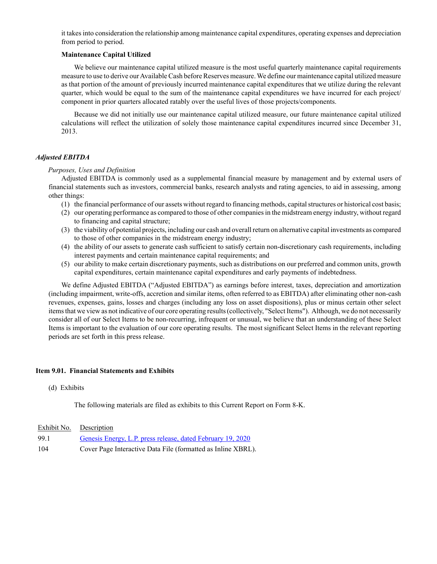it takes into consideration the relationship among maintenance capital expenditures, operating expenses and depreciation from period to period.

# **Maintenance Capital Utilized**

We believe our maintenance capital utilized measure is the most useful quarterly maintenance capital requirements measure to use to derive our Available Cash before Reserves measure. We define our maintenance capital utilized measure as that portion of the amount of previously incurred maintenance capital expenditures that we utilize during the relevant quarter, which would be equal to the sum of the maintenance capital expenditures we have incurred for each project/ component in prior quarters allocated ratably over the useful lives of those projects/components.

Because we did not initially use our maintenance capital utilized measure, our future maintenance capital utilized calculations will reflect the utilization of solely those maintenance capital expenditures incurred since December 31, 2013.

## *Adjusted EBITDA*

## *Purposes, Uses and Definition*

Adjusted EBITDA is commonly used as a supplemental financial measure by management and by external users of financial statements such as investors, commercial banks, research analysts and rating agencies, to aid in assessing, among other things:

- (1) the financial performance of our assets without regard to financing methods, capital structures or historical cost basis;
- (2) our operating performance as compared to those of other companies in the midstream energy industry, without regard to financing and capital structure;
- (3) the viability of potential projects, including our cash and overall return on alternative capital investments as compared to those of other companies in the midstream energy industry;
- (4) the ability of our assets to generate cash sufficient to satisfy certain non-discretionary cash requirements, including interest payments and certain maintenance capital requirements; and
- (5) our ability to make certain discretionary payments, such as distributions on our preferred and common units, growth capital expenditures, certain maintenance capital expenditures and early payments of indebtedness.

We define Adjusted EBITDA ("Adjusted EBITDA") as earnings before interest, taxes, depreciation and amortization (including impairment, write-offs, accretion and similar items, often referred to as EBITDA) after eliminating other non-cash revenues, expenses, gains, losses and charges (including any loss on asset dispositions), plus or minus certain other select items that we view as not indicative of our core operating results (collectively, "Select Items"). Although, we do not necessarily consider all of our Select Items to be non-recurring, infrequent or unusual, we believe that an understanding of these Select Items is important to the evaluation of our core operating results. The most significant Select Items in the relevant reporting periods are set forth in this press release.

#### **Item 9.01. Financial Statements and Exhibits**

(d) Exhibits

The following materials are filed as exhibits to this Current Report on Form 8-K.

| Exhibit No. | Description                                                  |
|-------------|--------------------------------------------------------------|
| 99.1        | Genesis Energy, L.P. press release, dated February 19, 2020  |
| 104         | Cover Page Interactive Data File (formatted as Inline XBRL). |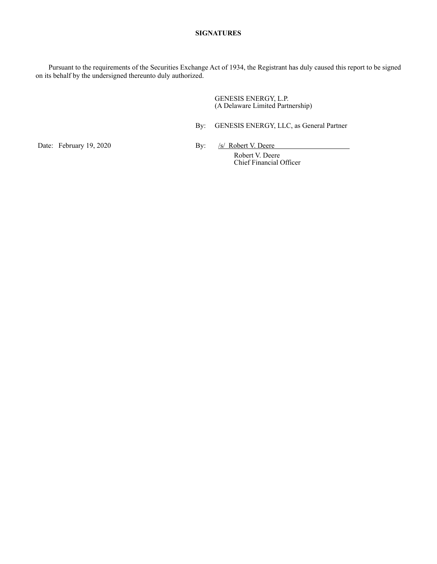# **SIGNATURES**

Pursuant to the requirements of the Securities Exchange Act of 1934, the Registrant has duly caused this report to be signed on its behalf by the undersigned thereunto duly authorized.

> GENESIS ENERGY, L.P. (A Delaware Limited Partnership)

By: GENESIS ENERGY, LLC, as General Partner

Date: February 19, 2020 By: *Isl* Robert V. Deere

Robert V. Deere Chief Financial Officer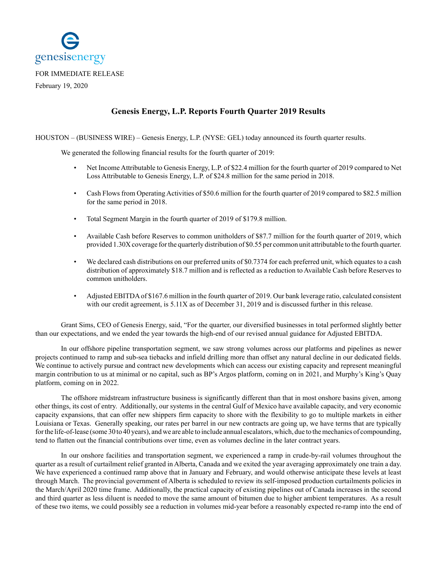

FOR IMMEDIATE RELEASE

February 19, 2020

# **Genesis Energy, L.P. Reports Fourth Quarter 2019 Results**

HOUSTON – (BUSINESS WIRE) – Genesis Energy, L.P. (NYSE: GEL) today announced its fourth quarter results.

We generated the following financial results for the fourth quarter of 2019:

- Net Income Attributable to Genesis Energy, L.P. of \$22.4 million for the fourth quarter of 2019 compared to Net Loss Attributable to Genesis Energy, L.P. of \$24.8 million for the same period in 2018.
- Cash Flows from Operating Activities of \$50.6 million for the fourth quarter of 2019 compared to \$82.5 million for the same period in 2018.
- Total Segment Margin in the fourth quarter of 2019 of \$179.8 million.
- Available Cash before Reserves to common unitholders of \$87.7 million for the fourth quarter of 2019, which provided 1.30X coverage for the quarterly distribution of \$0.55 per common unit attributable to the fourth quarter.
- We declared cash distributions on our preferred units of \$0.7374 for each preferred unit, which equates to a cash distribution of approximately \$18.7 million and is reflected as a reduction to Available Cash before Reserves to common unitholders.
- Adjusted EBITDA of \$167.6 million in the fourth quarter of 2019. Our bank leverage ratio, calculated consistent with our credit agreement, is 5.11X as of December 31, 2019 and is discussed further in this release.

Grant Sims, CEO of Genesis Energy, said, "For the quarter, our diversified businesses in total performed slightly better than our expectations, and we ended the year towards the high-end of our revised annual guidance for Adjusted EBITDA.

In our offshore pipeline transportation segment, we saw strong volumes across our platforms and pipelines as newer projects continued to ramp and sub-sea tiebacks and infield drilling more than offset any natural decline in our dedicated fields. We continue to actively pursue and contract new developments which can access our existing capacity and represent meaningful margin contribution to us at minimal or no capital, such as BP's Argos platform, coming on in 2021, and Murphy's King's Quay platform, coming on in 2022.

The offshore midstream infrastructure business is significantly different than that in most onshore basins given, among other things, its cost of entry. Additionally, our systems in the central Gulf of Mexico have available capacity, and very economic capacity expansions, that can offer new shippers firm capacity to shore with the flexibility to go to multiple markets in either Louisiana or Texas. Generally speaking, our rates per barrel in our new contracts are going up, we have terms that are typically for the life-of-lease (some 30 to 40 years), and we are able to include annual escalators, which, due to the mechanics of compounding, tend to flatten out the financial contributions over time, even as volumes decline in the later contract years.

In our onshore facilities and transportation segment, we experienced a ramp in crude-by-rail volumes throughout the quarter as a result of curtailment relief granted in Alberta, Canada and we exited the year averaging approximately one train a day. We have experienced a continued ramp above that in January and February, and would otherwise anticipate these levels at least through March. The provincial government of Alberta is scheduled to review its self-imposed production curtailments policies in the March/April 2020 time frame. Additionally, the practical capacity of existing pipelines out of Canada increases in the second and third quarter as less diluent is needed to move the same amount of bitumen due to higher ambient temperatures. As a result of these two items, we could possibly see a reduction in volumes mid-year before a reasonably expected re-ramp into the end of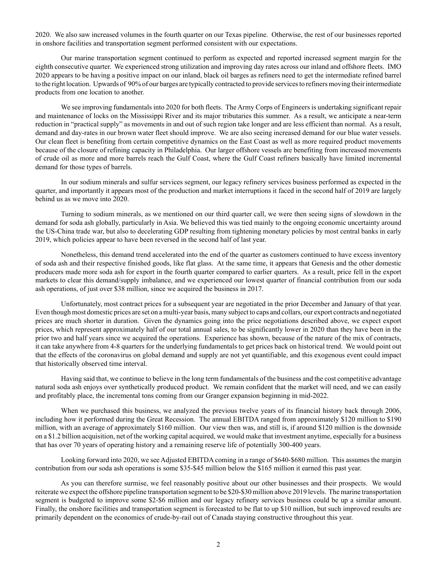2020. We also saw increased volumes in the fourth quarter on our Texas pipeline. Otherwise, the rest of our businesses reported in onshore facilities and transportation segment performed consistent with our expectations.

Our marine transportation segment continued to perform as expected and reported increased segment margin for the eighth consecutive quarter. We experienced strong utilization and improving day rates across our inland and offshore fleets. IMO 2020 appears to be having a positive impact on our inland, black oil barges as refiners need to get the intermediate refined barrel to the right location. Upwards of 90% of our barges are typically contracted to provide services to refiners moving their intermediate products from one location to another.

We see improving fundamentals into 2020 for both fleets. The Army Corps of Engineers is undertaking significant repair and maintenance of locks on the Mississippi River and its major tributaries this summer. As a result, we anticipate a near-term reduction in "practical supply" as movements in and out of such region take longer and are less efficient than normal. As a result, demand and day-rates in our brown water fleet should improve. We are also seeing increased demand for our blue water vessels. Our clean fleet is benefiting from certain competitive dynamics on the East Coast as well as more required product movements because of the closure of refining capacity in Philadelphia. Our larger offshore vessels are benefiting from increased movements of crude oil as more and more barrels reach the Gulf Coast, where the Gulf Coast refiners basically have limited incremental demand for those types of barrels.

In our sodium minerals and sulfur services segment, our legacy refinery services business performed as expected in the quarter, and importantly it appears most of the production and market interruptions it faced in the second half of 2019 are largely behind us as we move into 2020.

Turning to sodium minerals, as we mentioned on our third quarter call, we were then seeing signs of slowdown in the demand for soda ash globally, particularly in Asia. We believed this was tied mainly to the ongoing economic uncertainty around the US-China trade war, but also to decelerating GDP resulting from tightening monetary policies by most central banks in early 2019, which policies appear to have been reversed in the second half of last year.

Nonetheless, this demand trend accelerated into the end of the quarter as customers continued to have excess inventory of soda ash and their respective finished goods, like flat glass. At the same time, it appears that Genesis and the other domestic producers made more soda ash for export in the fourth quarter compared to earlier quarters. As a result, price fell in the export markets to clear this demand/supply imbalance, and we experienced our lowest quarter of financial contribution from our soda ash operations, of just over \$38 million, since we acquired the business in 2017.

Unfortunately, most contract prices for a subsequent year are negotiated in the prior December and January of that year. Even though most domestic prices are set on a multi-year basis, many subject to caps and collars, our export contracts and negotiated prices are much shorter in duration. Given the dynamics going into the price negotiations described above, we expect export prices, which represent approximately half of our total annual sales, to be significantly lower in 2020 than they have been in the prior two and half years since we acquired the operations. Experience has shown, because of the nature of the mix of contracts, it can take anywhere from 4-8 quarters for the underlying fundamentals to get prices back on historical trend. We would point out that the effects of the coronavirus on global demand and supply are not yet quantifiable, and this exogenous event could impact that historically observed time interval.

Having said that, we continue to believe in the long term fundamentals of the business and the cost competitive advantage natural soda ash enjoys over synthetically produced product. We remain confident that the market will need, and we can easily and profitably place, the incremental tons coming from our Granger expansion beginning in mid-2022.

When we purchased this business, we analyzed the previous twelve years of its financial history back through 2006, including how it performed during the Great Recession. The annual EBITDA ranged from approximately \$120 million to \$190 million, with an average of approximately \$160 million. Our view then was, and still is, if around \$120 million is the downside on a \$1.2 billion acquisition, net of the working capital acquired, we would make that investment anytime, especially for a business that has over 70 years of operating history and a remaining reserve life of potentially 300-400 years.

Looking forward into 2020, we see Adjusted EBITDA coming in a range of \$640-\$680 million. This assumes the margin contribution from our soda ash operations is some \$35-\$45 million below the \$165 million it earned this past year.

As you can therefore surmise, we feel reasonably positive about our other businesses and their prospects. We would reiterate we expect the offshore pipeline transportation segment to be \$20-\$30 million above 2019 levels. The marine transportation segment is budgeted to improve some \$2-\$6 million and our legacy refinery services business could be up a similar amount. Finally, the onshore facilities and transportation segment is forecasted to be flat to up \$10 million, but such improved results are primarily dependent on the economics of crude-by-rail out of Canada staying constructive throughout this year.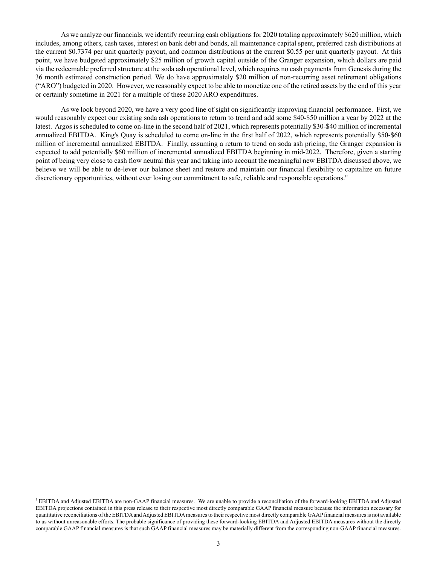As we analyze our financials, we identify recurring cash obligations for 2020 totaling approximately \$620 million, which includes, among others, cash taxes, interest on bank debt and bonds, all maintenance capital spent, preferred cash distributions at the current \$0.7374 per unit quarterly payout, and common distributions at the current \$0.55 per unit quarterly payout. At this point, we have budgeted approximately \$25 million of growth capital outside of the Granger expansion, which dollars are paid via the redeemable preferred structure at the soda ash operational level, which requires no cash payments from Genesis during the 36 month estimated construction period. We do have approximately \$20 million of non-recurring asset retirement obligations ("ARO") budgeted in 2020. However, we reasonably expect to be able to monetize one of the retired assets by the end of this year or certainly sometime in 2021 for a multiple of these 2020 ARO expenditures.

As we look beyond 2020, we have a very good line of sight on significantly improving financial performance. First, we would reasonably expect our existing soda ash operations to return to trend and add some \$40-\$50 million a year by 2022 at the latest. Argos is scheduled to come on-line in the second half of 2021, which represents potentially \$30-\$40 million of incremental annualized EBITDA. King's Quay is scheduled to come on-line in the first half of 2022, which represents potentially \$50-\$60 million of incremental annualized EBITDA. Finally, assuming a return to trend on soda ash pricing, the Granger expansion is expected to add potentially \$60 million of incremental annualized EBITDA beginning in mid-2022. Therefore, given a starting point of being very close to cash flow neutral this year and taking into account the meaningful new EBITDA discussed above, we believe we will be able to de-lever our balance sheet and restore and maintain our financial flexibility to capitalize on future discretionary opportunities, without ever losing our commitment to safe, reliable and responsible operations."

<sup>&</sup>lt;sup>1</sup> EBITDA and Adjusted EBITDA are non-GAAP financial measures. We are unable to provide a reconciliation of the forward-looking EBITDA and Adjusted EBITDA projections contained in this press release to their respective most directly comparable GAAP financial measure because the information necessary for quantitative reconciliations of the EBITDA and Adjusted EBITDA measures to their respective most directly comparable GAAP financial measures is not available to us without unreasonable efforts. The probable significance of providing these forward-looking EBITDA and Adjusted EBITDA measures without the directly comparable GAAP financial measures is that such GAAP financial measures may be materially different from the corresponding non-GAAP financial measures.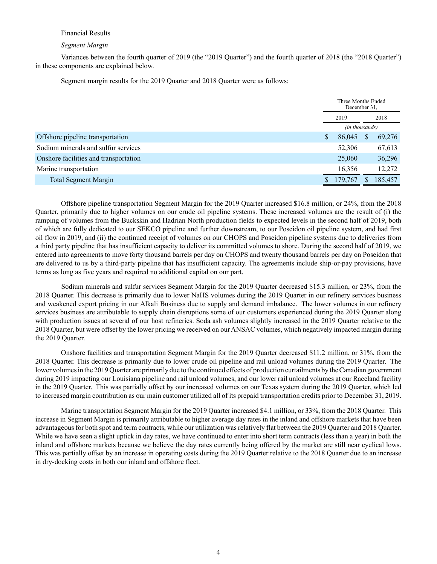## Financial Results

# *Segment Margin*

Variances between the fourth quarter of 2019 (the "2019 Quarter") and the fourth quarter of 2018 (the "2018 Quarter") in these components are explained below.

Segment margin results for the 2019 Quarter and 2018 Quarter were as follows:

|                                       | Three Months Ended<br>December 31. |         |        |         |
|---------------------------------------|------------------------------------|---------|--------|---------|
|                                       | 2019                               |         |        | 2018    |
|                                       | (in thousands)                     |         |        |         |
| Offshore pipeline transportation      | S                                  | 86,045  |        | 69,276  |
| Sodium minerals and sulfur services   |                                    | 52,306  |        | 67,613  |
| Onshore facilities and transportation | 25,060                             |         | 36,296 |         |
| Marine transportation                 | 16,356                             |         | 12,272 |         |
| <b>Total Segment Margin</b>           |                                    | 179,767 |        | 185,457 |

Offshore pipeline transportation Segment Margin for the 2019 Quarter increased \$16.8 million, or 24%, from the 2018 Quarter, primarily due to higher volumes on our crude oil pipeline systems. These increased volumes are the result of (i) the ramping of volumes from the Buckskin and Hadrian North production fields to expected levels in the second half of 2019, both of which are fully dedicated to our SEKCO pipeline and further downstream, to our Poseidon oil pipeline system, and had first oil flow in 2019, and (ii) the continued receipt of volumes on our CHOPS and Poseidon pipeline systems due to deliveries from a third party pipeline that has insufficient capacity to deliver its committed volumes to shore. During the second half of 2019, we entered into agreements to move forty thousand barrels per day on CHOPS and twenty thousand barrels per day on Poseidon that are delivered to us by a third-party pipeline that has insufficient capacity. The agreements include ship-or-pay provisions, have terms as long as five years and required no additional capital on our part.

Sodium minerals and sulfur services Segment Margin for the 2019 Quarter decreased \$15.3 million, or 23%, from the 2018 Quarter. This decrease is primarily due to lower NaHS volumes during the 2019 Quarter in our refinery services business and weakened export pricing in our Alkali Business due to supply and demand imbalance. The lower volumes in our refinery services business are attributable to supply chain disruptions some of our customers experienced during the 2019 Quarter along with production issues at several of our host refineries. Soda ash volumes slightly increased in the 2019 Quarter relative to the 2018 Quarter, but were offset by the lower pricing we received on our ANSAC volumes, which negatively impacted margin during the 2019 Quarter.

Onshore facilities and transportation Segment Margin for the 2019 Quarter decreased \$11.2 million, or 31%, from the 2018 Quarter. This decrease is primarily due to lower crude oil pipeline and rail unload volumes during the 2019 Quarter. The lower volumes in the 2019 Quarter are primarily due to the continued effects of production curtailments by the Canadian government during 2019 impacting our Louisiana pipeline and rail unload volumes, and our lower rail unload volumes at our Raceland facility in the 2019 Quarter. This was partially offset by our increased volumes on our Texas system during the 2019 Quarter, which led to increased margin contribution as our main customer utilized all of its prepaid transportation credits prior to December 31, 2019.

Marine transportation Segment Margin for the 2019 Quarter increased \$4.1 million, or 33%, from the 2018 Quarter. This increase in Segment Margin is primarily attributable to higher average day rates in the inland and offshore markets that have been advantageous for both spot and term contracts, while our utilization was relatively flat between the 2019 Quarter and 2018 Quarter. While we have seen a slight uptick in day rates, we have continued to enter into short term contracts (less than a year) in both the inland and offshore markets because we believe the day rates currently being offered by the market are still near cyclical lows. This was partially offset by an increase in operating costs during the 2019 Quarter relative to the 2018 Quarter due to an increase in dry-docking costs in both our inland and offshore fleet.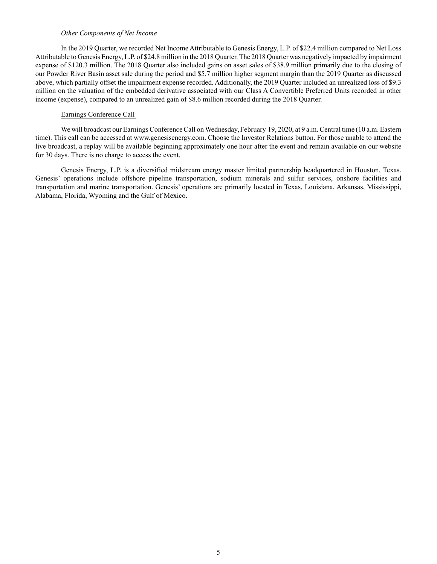## *Other Components of Net Income*

In the 2019 Quarter, we recorded Net Income Attributable to Genesis Energy, L.P. of \$22.4 million compared to Net Loss Attributable to Genesis Energy, L.P. of \$24.8 million in the 2018 Quarter. The 2018 Quarter was negatively impacted by impairment expense of \$120.3 million. The 2018 Quarter also included gains on asset sales of \$38.9 million primarily due to the closing of our Powder River Basin asset sale during the period and \$5.7 million higher segment margin than the 2019 Quarter as discussed above, which partially offset the impairment expense recorded. Additionally, the 2019 Quarter included an unrealized loss of \$9.3 million on the valuation of the embedded derivative associated with our Class A Convertible Preferred Units recorded in other income (expense), compared to an unrealized gain of \$8.6 million recorded during the 2018 Quarter.

## Earnings Conference Call

We will broadcast our Earnings Conference Call on Wednesday, February 19, 2020, at 9 a.m. Central time (10 a.m. Eastern time). This call can be accessed at www.genesisenergy.com. Choose the Investor Relations button. For those unable to attend the live broadcast, a replay will be available beginning approximately one hour after the event and remain available on our website for 30 days. There is no charge to access the event.

Genesis Energy, L.P. is a diversified midstream energy master limited partnership headquartered in Houston, Texas. Genesis' operations include offshore pipeline transportation, sodium minerals and sulfur services, onshore facilities and transportation and marine transportation. Genesis' operations are primarily located in Texas, Louisiana, Arkansas, Mississippi, Alabama, Florida, Wyoming and the Gulf of Mexico.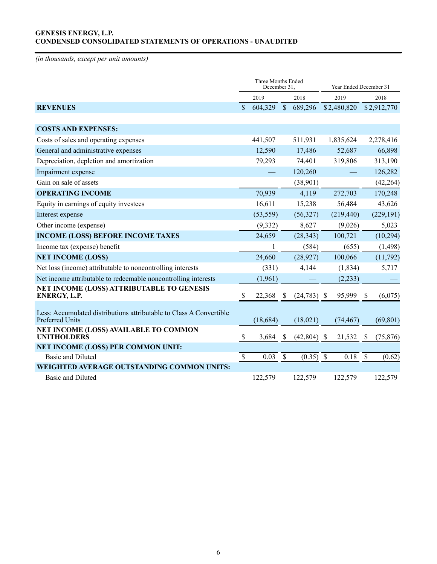# **GENESIS ENERGY, L.P. CONDENSED CONSOLIDATED STATEMENTS OF OPERATIONS - UNAUDITED**

*(in thousands, except per unit amounts)*

|                                                                                               | Three Months Ended<br>December 31. |           |               | Year Ended December 31 |               |             |                           |             |
|-----------------------------------------------------------------------------------------------|------------------------------------|-----------|---------------|------------------------|---------------|-------------|---------------------------|-------------|
|                                                                                               |                                    | 2019      |               | 2018                   |               | 2019        |                           | 2018        |
| <b>REVENUES</b>                                                                               | $\mathbf S$                        | 604,329   | $\mathsf{\$}$ | 689,296                |               | \$2,480,820 |                           | \$2,912,770 |
|                                                                                               |                                    |           |               |                        |               |             |                           |             |
| <b>COSTS AND EXPENSES:</b>                                                                    |                                    |           |               |                        |               |             |                           |             |
| Costs of sales and operating expenses                                                         |                                    | 441,507   |               | 511,931                |               | 1,835,624   |                           | 2,278,416   |
| General and administrative expenses                                                           |                                    | 12,590    |               | 17,486                 |               | 52,687      |                           | 66,898      |
| Depreciation, depletion and amortization                                                      |                                    | 79,293    |               | 74,401                 |               | 319,806     |                           | 313,190     |
| Impairment expense                                                                            |                                    |           |               | 120,260                |               |             |                           | 126,282     |
| Gain on sale of assets                                                                        |                                    |           |               | (38,901)               |               |             |                           | (42, 264)   |
| <b>OPERATING INCOME</b>                                                                       |                                    | 70,939    |               | 4,119                  |               | 272,703     |                           | 170,248     |
| Equity in earnings of equity investees                                                        |                                    | 16,611    |               | 15,238                 |               | 56,484      |                           | 43,626      |
| Interest expense                                                                              |                                    | (53, 559) |               | (56,327)               |               | (219, 440)  |                           | (229, 191)  |
| Other income (expense)                                                                        |                                    | (9, 332)  |               | 8,627                  |               | (9,026)     |                           | 5,023       |
| <b>INCOME (LOSS) BEFORE INCOME TAXES</b>                                                      |                                    | 24,659    |               | (28, 343)              |               | 100,721     |                           | (10, 294)   |
| Income tax (expense) benefit                                                                  |                                    | 1         |               | (584)                  |               | (655)       |                           | (1, 498)    |
| <b>NET INCOME (LOSS)</b>                                                                      |                                    | 24,660    |               | (28, 927)              |               | 100,066     |                           | (11,792)    |
| Net loss (income) attributable to noncontrolling interests                                    |                                    | (331)     |               | 4,144                  |               | (1, 834)    |                           | 5,717       |
| Net income attributable to redeemable noncontrolling interests                                |                                    | (1,961)   |               |                        |               | (2,233)     |                           |             |
| NET INCOME (LOSS) ATTRIBUTABLE TO GENESIS<br><b>ENERGY, L.P.</b>                              | \$                                 | 22,368    | <sup>\$</sup> | (24, 783)              | -S            | 95,999      | <sup>\$</sup>             | (6,075)     |
| Less: Accumulated distributions attributable to Class A Convertible<br><b>Preferred Units</b> |                                    | (18, 684) |               | (18,021)               |               | (74, 467)   |                           | (69, 801)   |
| NET INCOME (LOSS) AVAILABLE TO COMMON<br><b>UNITHOLDERS</b>                                   | S                                  | 3,684     | -S            | (42, 804)              | - \$          | 21,532      | <sup>2</sup>              | (75, 876)   |
| <b>NET INCOME (LOSS) PER COMMON UNIT:</b>                                                     |                                    |           |               |                        |               |             |                           |             |
| <b>Basic and Diluted</b>                                                                      | \$                                 | 0.03      | \$            | (0.35)                 | $\mathcal{S}$ | 0.18        | $\boldsymbol{\mathsf{S}}$ | (0.62)      |
| WEIGHTED AVERAGE OUTSTANDING COMMON UNITS:                                                    |                                    |           |               |                        |               |             |                           |             |
| <b>Basic and Diluted</b>                                                                      |                                    | 122,579   |               | 122,579                |               | 122,579     |                           | 122,579     |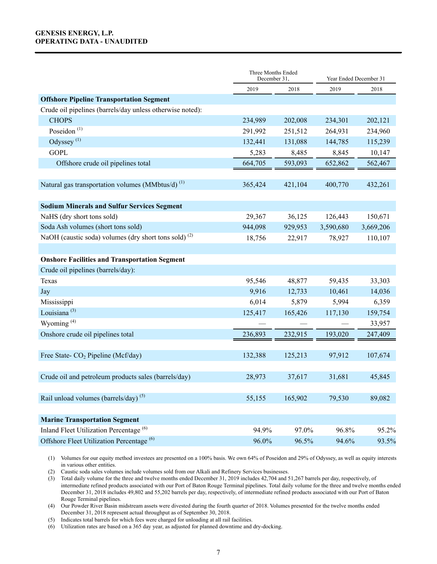# **GENESIS ENERGY, L.P. OPERATING DATA - UNAUDITED**

|                                                                  | Three Months Ended<br>December 31. |         | Year Ended December 31 |           |
|------------------------------------------------------------------|------------------------------------|---------|------------------------|-----------|
|                                                                  | 2019                               | 2018    | 2019                   | 2018      |
| <b>Offshore Pipeline Transportation Segment</b>                  |                                    |         |                        |           |
| Crude oil pipelines (barrels/day unless otherwise noted):        |                                    |         |                        |           |
| <b>CHOPS</b>                                                     | 234,989                            | 202,008 | 234,301                | 202,121   |
| Poseidon <sup>(1)</sup>                                          | 291,992                            | 251,512 | 264,931                | 234,960   |
| Odyssey $(1)$                                                    | 132,441                            | 131,088 | 144,785                | 115,239   |
| <b>GOPL</b>                                                      | 5,283                              | 8,485   | 8,845                  | 10,147    |
| Offshore crude oil pipelines total                               | 664,705                            | 593,093 | 652,862                | 562,467   |
|                                                                  |                                    |         |                        |           |
| Natural gas transportation volumes (MMbtus/d) <sup>(1)</sup>     | 365,424                            | 421,104 | 400,770                | 432,261   |
|                                                                  |                                    |         |                        |           |
| <b>Sodium Minerals and Sulfur Services Segment</b>               |                                    |         |                        |           |
| NaHS (dry short tons sold)                                       | 29,367                             | 36,125  | 126,443                | 150,671   |
| Soda Ash volumes (short tons sold)                               | 944,098                            | 929,953 | 3,590,680              | 3,669,206 |
| NaOH (caustic soda) volumes (dry short tons sold) <sup>(2)</sup> | 18,756                             | 22,917  | 78,927                 | 110,107   |
|                                                                  |                                    |         |                        |           |
| <b>Onshore Facilities and Transportation Segment</b>             |                                    |         |                        |           |
| Crude oil pipelines (barrels/day):                               |                                    |         |                        |           |
| Texas                                                            | 95,546                             | 48,877  | 59,435                 | 33,303    |
| Jay                                                              | 9,916                              | 12,733  | 10,461                 | 14,036    |
| Mississippi                                                      | 6,014                              | 5,879   | 5,994                  | 6,359     |
| Louisiana $^{(3)}$                                               | 125,417                            | 165,426 | 117,130                | 159,754   |
| Wyoming $(4)$                                                    |                                    |         |                        | 33,957    |
| Onshore crude oil pipelines total                                | 236,893                            | 232,915 | 193,020                | 247,409   |
|                                                                  |                                    |         |                        |           |
| Free State- $CO2$ Pipeline (Mcf/day)                             | 132,388                            | 125,213 | 97,912                 | 107,674   |
|                                                                  |                                    |         |                        |           |
| Crude oil and petroleum products sales (barrels/day)             | 28,973                             | 37,617  | 31,681                 | 45,845    |
|                                                                  |                                    |         |                        |           |
| Rail unload volumes (barrels/day) $(5)$                          | 55,155                             | 165,902 | 79,530                 | 89,082    |
|                                                                  |                                    |         |                        |           |
| <b>Marine Transportation Segment</b>                             |                                    |         |                        |           |
| Inland Fleet Utilization Percentage <sup>(6)</sup>               | 94.9%                              | 97.0%   | 96.8%                  | 95.2%     |
| Offshore Fleet Utilization Percentage <sup>(6)</sup>             | 96.0%                              | 96.5%   | 94.6%                  | 93.5%     |

(1) Volumes for our equity method investees are presented on a 100% basis. We own 64% of Poseidon and 29% of Odyssey, as well as equity interests in various other entities.

(2) Caustic soda sales volumes include volumes sold from our Alkali and Refinery Services businesses.

(3) Total daily volume for the three and twelve months ended December 31, 2019 includes 42,704 and 51,267 barrels per day, respectively, of intermediate refined products associated with our Port of Baton Rouge Terminal pipelines. Total daily volume for the three and twelve months ended December 31, 2018 includes 49,802 and 55,202 barrels per day, respectively, of intermediate refined products associated with our Port of Baton Rouge Terminal pipelines.

(4) Our Powder River Basin midstream assets were divested during the fourth quarter of 2018. Volumes presented for the twelve months ended December 31, 2018 represent actual throughput as of September 30, 2018.

(5) Indicates total barrels for which fees were charged for unloading at all rail facilities.

(6) Utilization rates are based on a 365 day year, as adjusted for planned downtime and dry-docking.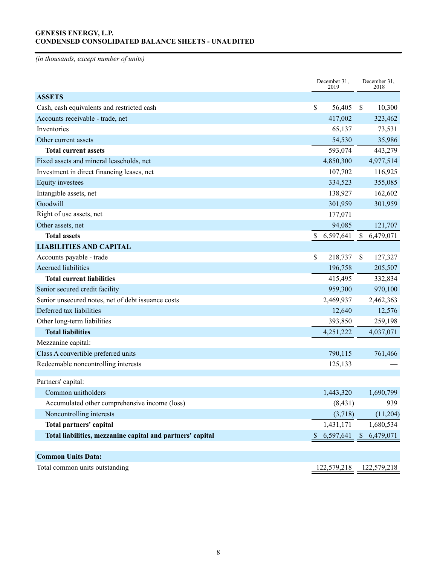# **GENESIS ENERGY, L.P. CONDENSED CONSOLIDATED BALANCE SHEETS - UNAUDITED**

*(in thousands, except number of units)* 

|                                                            |                           | December 31.<br>2019 |              | December 31,<br>2018 |
|------------------------------------------------------------|---------------------------|----------------------|--------------|----------------------|
| <b>ASSETS</b>                                              |                           |                      |              |                      |
| Cash, cash equivalents and restricted cash                 | \$                        | 56,405               | \$           | 10,300               |
| Accounts receivable - trade, net                           |                           | 417,002              |              | 323,462              |
| Inventories                                                |                           | 65,137               |              | 73,531               |
| Other current assets                                       |                           | 54,530               |              | 35,986               |
| <b>Total current assets</b>                                |                           | 593,074              |              | 443,279              |
| Fixed assets and mineral leaseholds, net                   |                           | 4,850,300            |              | 4,977,514            |
| Investment in direct financing leases, net                 |                           | 107,702              |              | 116,925              |
| Equity investees                                           |                           | 334,523              |              | 355,085              |
| Intangible assets, net                                     |                           | 138,927              |              | 162,602              |
| Goodwill                                                   |                           | 301,959              |              | 301,959              |
| Right of use assets, net                                   |                           | 177,071              |              |                      |
| Other assets, net                                          |                           | 94,085               |              | 121,707              |
| <b>Total assets</b>                                        |                           | 6,597,641            | $\mathbb{S}$ | 6,479,071            |
| <b>LIABILITIES AND CAPITAL</b>                             |                           |                      |              |                      |
| Accounts payable - trade                                   | \$                        | 218,737              | \$           | 127,327              |
| <b>Accrued liabilities</b>                                 |                           | 196,758              |              | 205,507              |
| <b>Total current liabilities</b>                           |                           | 415,495              |              | 332,834              |
| Senior secured credit facility                             |                           | 959,300              |              | 970,100              |
| Senior unsecured notes, net of debt issuance costs         |                           | 2,469,937            |              | 2,462,363            |
| Deferred tax liabilities                                   |                           | 12,640               |              | 12,576               |
| Other long-term liabilities                                |                           | 393,850              |              | 259,198              |
| <b>Total liabilities</b>                                   |                           | 4,251,222            |              | 4,037,071            |
| Mezzanine capital:                                         |                           |                      |              |                      |
| Class A convertible preferred units                        |                           | 790,115              |              | 761,466              |
| Redeemable noncontrolling interests                        |                           | 125,133              |              |                      |
| Partners' capital:                                         |                           |                      |              |                      |
| Common unitholders                                         |                           | 1,443,320            |              | 1,690,799            |
| Accumulated other comprehensive income (loss)              |                           | (8, 431)             |              | 939                  |
| Noncontrolling interests                                   |                           | (3,718)              |              | (11,204)             |
| Total partners' capital                                    |                           | 1,431,171            |              | 1,680,534            |
| Total liabilities, mezzanine capital and partners' capital | $\boldsymbol{\mathsf{S}}$ | 6,597,641            | $\mathbb{S}$ | 6,479,071            |
|                                                            |                           |                      |              |                      |
| <b>Common Units Data:</b>                                  |                           |                      |              |                      |
| Total common units outstanding                             |                           | 122,579,218          |              | 122,579,218          |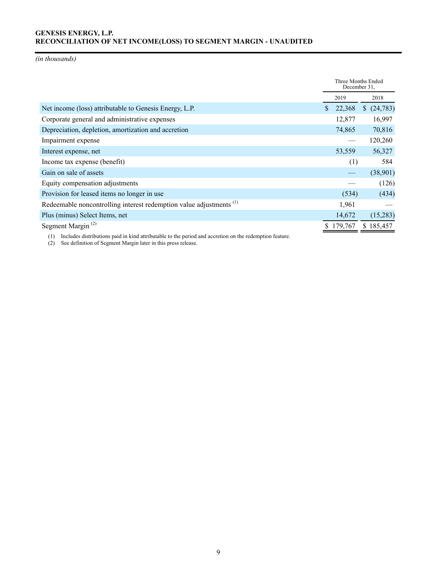# **GENESIS ENERGY, L.P. RECONCILIATION OF NET INCOME(LOSS) TO SEGMENT MARGIN - UNAUDITED**

*(in thousands)* 

|                                                                                | Three Months Ended<br>December 31. |           |           |          |
|--------------------------------------------------------------------------------|------------------------------------|-----------|-----------|----------|
|                                                                                |                                    | 2019      |           | 2018     |
| Net income (loss) attributable to Genesis Energy, L.P.                         |                                    | 22,368    |           | (24,783) |
| Corporate general and administrative expenses                                  |                                    | 12,877    |           | 16,997   |
| Depreciation, depletion, amortization and accretion                            |                                    | 74,865    |           | 70,816   |
| Impairment expense                                                             |                                    |           |           | 120,260  |
| Interest expense, net                                                          |                                    | 53,559    |           | 56,327   |
| Income tax expense (benefit)                                                   |                                    | (1)       |           | 584      |
| Gain on sale of assets                                                         |                                    |           |           | (38,901) |
| Equity compensation adjustments                                                |                                    |           |           | (126)    |
| Provision for leased items no longer in use                                    |                                    | (534)     |           | (434)    |
| Redeemable noncontrolling interest redemption value adjustments <sup>(1)</sup> |                                    | 1,961     |           |          |
| Plus (minus) Select Items, net                                                 |                                    | 14,672    |           | (15,283) |
| Segment Margin <sup>(2)</sup>                                                  |                                    | \$179,767 | \$185,457 |          |

(1) Includes distributions paid in kind attributable to the period and accretion on the redemption feature.

(2) See definition of Segment Margin later in this press release.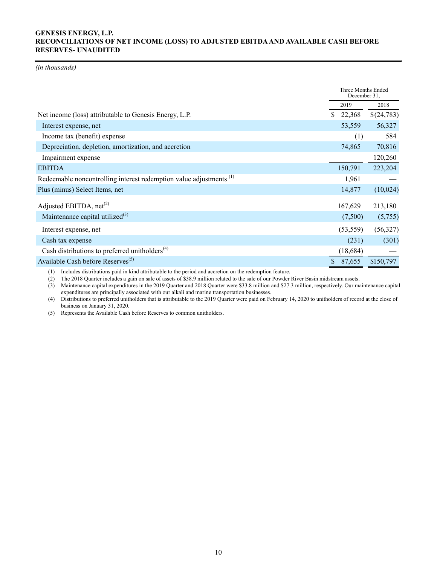# **GENESIS ENERGY, L.P. RECONCILIATIONS OF NET INCOME (LOSS) TO ADJUSTED EBITDA AND AVAILABLE CASH BEFORE RESERVES- UNAUDITED**

# *(in thousands)*

|                                                                                | Three Months Ended<br>December 31. |            |
|--------------------------------------------------------------------------------|------------------------------------|------------|
|                                                                                | 2019                               | 2018       |
| Net income (loss) attributable to Genesis Energy, L.P.                         | 22,368                             | \$(24,783) |
| Interest expense, net                                                          | 53,559                             | 56,327     |
| Income tax (benefit) expense                                                   | (1)                                | 584        |
| Depreciation, depletion, amortization, and accretion                           | 74,865                             | 70,816     |
| Impairment expense                                                             |                                    | 120,260    |
| <b>EBITDA</b>                                                                  | 150,791                            | 223,204    |
| Redeemable noncontrolling interest redemption value adjustments <sup>(1)</sup> | 1,961                              |            |
| Plus (minus) Select Items, net                                                 | 14,877                             | (10, 024)  |
| Adjusted EBITDA, $net^{(2)}$                                                   | 167,629                            | 213,180    |
| Maintenance capital utilized $^{(3)}$                                          | (7,500)                            | (5,755)    |
| Interest expense, net                                                          | (53, 559)                          | (56,327)   |
| Cash tax expense                                                               | (231)                              | (301)      |
| Cash distributions to preferred unitholders <sup>(4)</sup>                     | (18, 684)                          |            |
| Available Cash before Reserves <sup>(5)</sup>                                  | 87,655                             | \$150,797  |

(1) Includes distributions paid in kind attributable to the period and accretion on the redemption feature.

(2) The 2018 Quarter includes a gain on sale of assets of \$38.9 million related to the sale of our Powder River Basin midstream assets.

(3) Maintenance capital expenditures in the 2019 Quarter and 2018 Quarter were \$33.8 million and \$27.3 million, respectively. Our maintenance capital expenditures are principally associated with our alkali and marine transportation businesses.

(4) Distributions to preferred unitholders that is attributable to the 2019 Quarter were paid on February 14, 2020 to unitholders of record at the close of business on January 31, 2020.

(5) Represents the Available Cash before Reserves to common unitholders.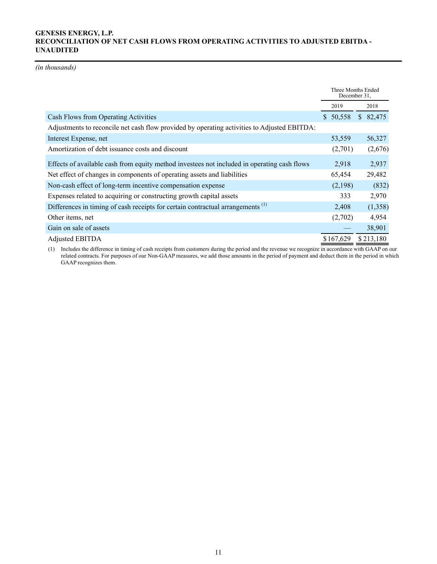# **GENESIS ENERGY, L.P. RECONCILIATION OF NET CASH FLOWS FROM OPERATING ACTIVITIES TO ADJUSTED EBITDA - UNAUDITED**

*(in thousands)* 

|                                                                                             | Three Months Ended<br>December 31, |           |
|---------------------------------------------------------------------------------------------|------------------------------------|-----------|
|                                                                                             | 2019                               | 2018      |
| Cash Flows from Operating Activities                                                        | \$50,558                           | \$82,475  |
| Adjustments to reconcile net cash flow provided by operating activities to Adjusted EBITDA: |                                    |           |
| Interest Expense, net                                                                       | 53,559                             | 56,327    |
| Amortization of debt issuance costs and discount                                            | (2,701)                            | (2,676)   |
| Effects of available cash from equity method investees not included in operating cash flows | 2,918                              | 2,937     |
| Net effect of changes in components of operating assets and liabilities                     | 65,454                             | 29,482    |
| Non-cash effect of long-term incentive compensation expense                                 | (2,198)                            | (832)     |
| Expenses related to acquiring or constructing growth capital assets                         | 333                                | 2,970     |
| Differences in timing of cash receipts for certain contractual arrangements <sup>(1)</sup>  | 2,408                              | (1,358)   |
| Other items, net                                                                            | (2,702)                            | 4,954     |
| Gain on sale of assets                                                                      |                                    | 38,901    |
| <b>Adjusted EBITDA</b>                                                                      | \$167,629                          | \$213,180 |

(1) Includes the difference in timing of cash receipts from customers during the period and the revenue we recognize in accordance with GAAP on our related contracts. For purposes of our Non-GAAP measures, we add those amounts in the period of payment and deduct them in the period in which GAAP recognizes them.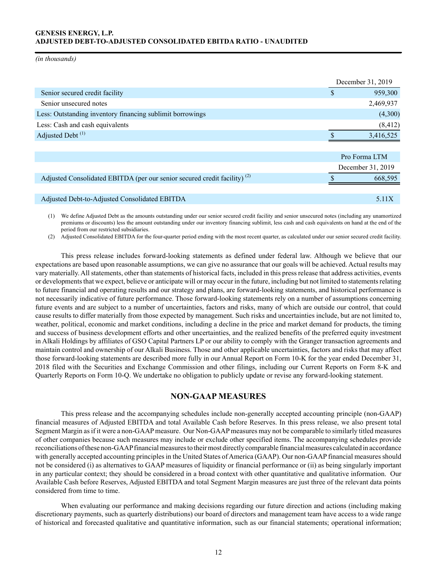# **GENESIS ENERGY, L.P. ADJUSTED DEBT-TO-ADJUSTED CONSOLIDATED EBITDA RATIO - UNAUDITED**

*(in thousands)* 

|                                                                                      |   | December 31, 2019 |
|--------------------------------------------------------------------------------------|---|-------------------|
| Senior secured credit facility                                                       | S | 959,300           |
| Senior unsecured notes                                                               |   | 2,469,937         |
| Less: Outstanding inventory financing sublimit borrowings                            |   | (4,300)           |
| Less: Cash and cash equivalents                                                      |   | (8, 412)          |
| Adjusted Debt <sup>(1)</sup>                                                         |   | 3,416,525         |
|                                                                                      |   |                   |
|                                                                                      |   | Pro Forma LTM     |
|                                                                                      |   | December 31, 2019 |
| Adjusted Consolidated EBITDA (per our senior secured credit facility) <sup>(2)</sup> |   | 668,595           |
|                                                                                      |   |                   |
| Adjusted Debt-to-Adjusted Consolidated EBITDA                                        |   | 5.11X             |

(1) We define Adjusted Debt as the amounts outstanding under our senior secured credit facility and senior unsecured notes (including any unamortized premiums or discounts) less the amount outstanding under our inventory financing sublimit, less cash and cash equivalents on hand at the end of the period from our restricted subsidiaries.

(2) Adjusted Consolidated EBITDA for the four-quarter period ending with the most recent quarter, as calculated under our senior secured credit facility.

This press release includes forward-looking statements as defined under federal law. Although we believe that our expectations are based upon reasonable assumptions, we can give no assurance that our goals will be achieved. Actual results may vary materially. All statements, other than statements of historical facts, included in this press release that address activities, events or developments that we expect, believe or anticipate will or may occur in the future, including but not limited to statements relating to future financial and operating results and our strategy and plans, are forward-looking statements, and historical performance is not necessarily indicative of future performance. Those forward-looking statements rely on a number of assumptions concerning future events and are subject to a number of uncertainties, factors and risks, many of which are outside our control, that could cause results to differ materially from those expected by management. Such risks and uncertainties include, but are not limited to, weather, political, economic and market conditions, including a decline in the price and market demand for products, the timing and success of business development efforts and other uncertainties, and the realized benefits of the preferred equity investment in Alkali Holdings by affiliates of GSO Capital Partners LP or our ability to comply with the Granger transaction agreements and maintain control and ownership of our Alkali Business. Those and other applicable uncertainties, factors and risks that may affect those forward-looking statements are described more fully in our Annual Report on Form 10-K for the year ended December 31, 2018 filed with the Securities and Exchange Commission and other filings, including our Current Reports on Form 8-K and Quarterly Reports on Form 10-Q. We undertake no obligation to publicly update or revise any forward-looking statement.

# **NON-GAAP MEASURES**

This press release and the accompanying schedules include non-generally accepted accounting principle (non-GAAP) financial measures of Adjusted EBITDA and total Available Cash before Reserves. In this press release, we also present total Segment Margin as if it were a non-GAAP measure. Our Non-GAAP measures may not be comparable to similarly titled measures of other companies because such measures may include or exclude other specified items. The accompanying schedules provide reconciliations of these non-GAAP financial measures to their most directly comparable financial measures calculated in accordance with generally accepted accounting principles in the United States of America (GAAP). Our non-GAAP financial measures should not be considered (i) as alternatives to GAAP measures of liquidity or financial performance or (ii) as being singularly important in any particular context; they should be considered in a broad context with other quantitative and qualitative information. Our Available Cash before Reserves, Adjusted EBITDA and total Segment Margin measures are just three of the relevant data points considered from time to time.

When evaluating our performance and making decisions regarding our future direction and actions (including making discretionary payments, such as quarterly distributions) our board of directors and management team have access to a wide range of historical and forecasted qualitative and quantitative information, such as our financial statements; operational information;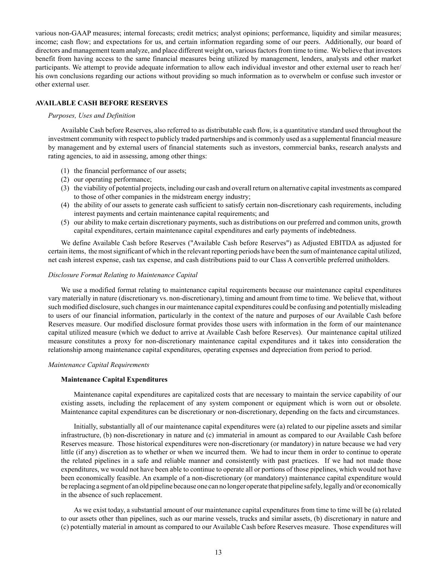various non-GAAP measures; internal forecasts; credit metrics; analyst opinions; performance, liquidity and similar measures; income; cash flow; and expectations for us, and certain information regarding some of our peers. Additionally, our board of directors and management team analyze, and place different weight on, various factors from time to time. We believe that investors benefit from having access to the same financial measures being utilized by management, lenders, analysts and other market participants. We attempt to provide adequate information to allow each individual investor and other external user to reach her/ his own conclusions regarding our actions without providing so much information as to overwhelm or confuse such investor or other external user.

## **AVAILABLE CASH BEFORE RESERVES**

#### *Purposes, Uses and Definition*

Available Cash before Reserves, also referred to as distributable cash flow, is a quantitative standard used throughout the investment community with respect to publicly traded partnerships and is commonly used as a supplemental financial measure by management and by external users of financial statements such as investors, commercial banks, research analysts and rating agencies, to aid in assessing, among other things:

- (1) the financial performance of our assets;
- (2) our operating performance;
- (3) the viability of potential projects, including our cash and overall return on alternative capital investments as compared to those of other companies in the midstream energy industry;
- (4) the ability of our assets to generate cash sufficient to satisfy certain non-discretionary cash requirements, including interest payments and certain maintenance capital requirements; and
- (5) our ability to make certain discretionary payments, such as distributions on our preferred and common units, growth capital expenditures, certain maintenance capital expenditures and early payments of indebtedness.

We define Available Cash before Reserves ("Available Cash before Reserves") as Adjusted EBITDA as adjusted for certain items, the most significant of which in the relevant reporting periods have been the sum of maintenance capital utilized, net cash interest expense, cash tax expense, and cash distributions paid to our Class A convertible preferred unitholders.

#### *Disclosure Format Relating to Maintenance Capital*

We use a modified format relating to maintenance capital requirements because our maintenance capital expenditures vary materially in nature (discretionary vs. non-discretionary), timing and amount from time to time. We believe that, without such modified disclosure, such changes in our maintenance capital expenditures could be confusing and potentially misleading to users of our financial information, particularly in the context of the nature and purposes of our Available Cash before Reserves measure. Our modified disclosure format provides those users with information in the form of our maintenance capital utilized measure (which we deduct to arrive at Available Cash before Reserves). Our maintenance capital utilized measure constitutes a proxy for non-discretionary maintenance capital expenditures and it takes into consideration the relationship among maintenance capital expenditures, operating expenses and depreciation from period to period.

## *Maintenance Capital Requirements*

#### **Maintenance Capital Expenditures**

Maintenance capital expenditures are capitalized costs that are necessary to maintain the service capability of our existing assets, including the replacement of any system component or equipment which is worn out or obsolete. Maintenance capital expenditures can be discretionary or non-discretionary, depending on the facts and circumstances.

Initially, substantially all of our maintenance capital expenditures were (a) related to our pipeline assets and similar infrastructure, (b) non-discretionary in nature and (c) immaterial in amount as compared to our Available Cash before Reserves measure. Those historical expenditures were non-discretionary (or mandatory) in nature because we had very little (if any) discretion as to whether or when we incurred them. We had to incur them in order to continue to operate the related pipelines in a safe and reliable manner and consistently with past practices. If we had not made those expenditures, we would not have been able to continue to operate all or portions of those pipelines, which would not have been economically feasible. An example of a non-discretionary (or mandatory) maintenance capital expenditure would be replacing a segment of an old pipeline because one can no longer operate that pipeline safely, legally and/or economically in the absence of such replacement.

As we exist today, a substantial amount of our maintenance capital expenditures from time to time will be (a) related to our assets other than pipelines, such as our marine vessels, trucks and similar assets, (b) discretionary in nature and (c) potentially material in amount as compared to our Available Cash before Reserves measure. Those expenditures will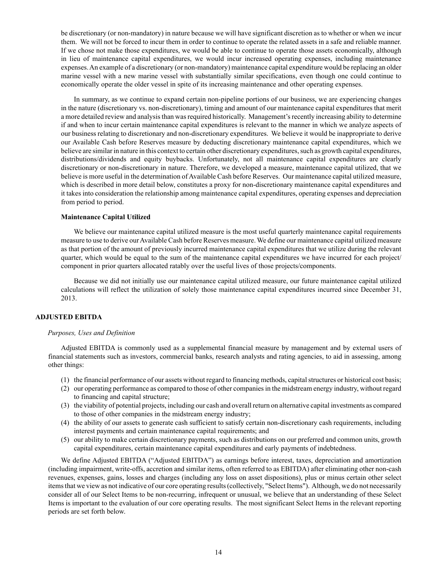be discretionary (or non-mandatory) in nature because we will have significant discretion as to whether or when we incur them. We will not be forced to incur them in order to continue to operate the related assets in a safe and reliable manner. If we chose not make those expenditures, we would be able to continue to operate those assets economically, although in lieu of maintenance capital expenditures, we would incur increased operating expenses, including maintenance expenses. An example of a discretionary (or non-mandatory) maintenance capital expenditure would be replacing an older marine vessel with a new marine vessel with substantially similar specifications, even though one could continue to economically operate the older vessel in spite of its increasing maintenance and other operating expenses.

In summary, as we continue to expand certain non-pipeline portions of our business, we are experiencing changes in the nature (discretionary vs. non-discretionary), timing and amount of our maintenance capital expenditures that merit a more detailed review and analysis than was required historically. Management's recently increasing ability to determine if and when to incur certain maintenance capital expenditures is relevant to the manner in which we analyze aspects of our business relating to discretionary and non-discretionary expenditures. We believe it would be inappropriate to derive our Available Cash before Reserves measure by deducting discretionary maintenance capital expenditures, which we believe are similar in nature in this context to certain other discretionary expenditures, such as growth capital expenditures, distributions/dividends and equity buybacks. Unfortunately, not all maintenance capital expenditures are clearly discretionary or non-discretionary in nature. Therefore, we developed a measure, maintenance capital utilized, that we believe is more useful in the determination of Available Cash before Reserves. Our maintenance capital utilized measure, which is described in more detail below, constitutes a proxy for non-discretionary maintenance capital expenditures and it takes into consideration the relationship among maintenance capital expenditures, operating expenses and depreciation from period to period.

## **Maintenance Capital Utilized**

We believe our maintenance capital utilized measure is the most useful quarterly maintenance capital requirements measure to use to derive our Available Cash before Reserves measure. We define our maintenance capital utilized measure as that portion of the amount of previously incurred maintenance capital expenditures that we utilize during the relevant quarter, which would be equal to the sum of the maintenance capital expenditures we have incurred for each project/ component in prior quarters allocated ratably over the useful lives of those projects/components.

Because we did not initially use our maintenance capital utilized measure, our future maintenance capital utilized calculations will reflect the utilization of solely those maintenance capital expenditures incurred since December 31, 2013.

# **ADJUSTED EBITDA**

## *Purposes, Uses and Definition*

Adjusted EBITDA is commonly used as a supplemental financial measure by management and by external users of financial statements such as investors, commercial banks, research analysts and rating agencies, to aid in assessing, among other things:

- (1) the financial performance of our assets without regard to financing methods, capital structures or historical cost basis;
- (2) our operating performance as compared to those of other companies in the midstream energy industry, without regard to financing and capital structure;
- (3) the viability of potential projects, including our cash and overall return on alternative capital investments as compared to those of other companies in the midstream energy industry;
- (4) the ability of our assets to generate cash sufficient to satisfy certain non-discretionary cash requirements, including interest payments and certain maintenance capital requirements; and
- (5) our ability to make certain discretionary payments, such as distributions on our preferred and common units, growth capital expenditures, certain maintenance capital expenditures and early payments of indebtedness.

We define Adjusted EBITDA ("Adjusted EBITDA") as earnings before interest, taxes, depreciation and amortization (including impairment, write-offs, accretion and similar items, often referred to as EBITDA) after eliminating other non-cash revenues, expenses, gains, losses and charges (including any loss on asset dispositions), plus or minus certain other select items that we view as not indicative of our core operating results (collectively, "Select Items"). Although, we do not necessarily consider all of our Select Items to be non-recurring, infrequent or unusual, we believe that an understanding of these Select Items is important to the evaluation of our core operating results. The most significant Select Items in the relevant reporting periods are set forth below.